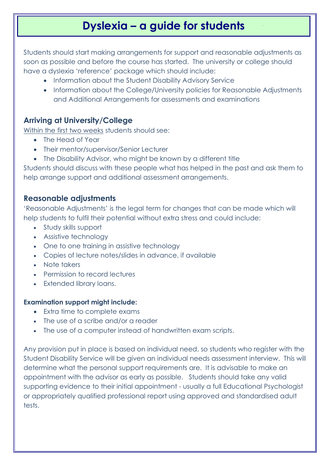# **Dyslexia – a guide for students**

Students should start making arrangements for support and reasonable adjustments as soon as possible and before the course has started. The university or college should have a dyslexia 'reference' package which should include:

- Information about the Student Disability Advisory Service
- Information about the College/University policies for Reasonable Adjustments and Additional Arrangements for assessments and examinations

## **Arriving at University/College**

Within the first two weeks students should see:

- The Head of Year
- Their mentor/supervisor/Senior Lecturer
- The Disability Advisor, who might be known by a different title

Students should discuss with these people what has helped in the past and ask them to help arrange support and additional assessment arrangements.

## **Reasonable adjustments**

'Reasonable Adjustments' is the legal term for changes that can be made which will help students to fulfil their potential without extra stress and could include:

- Study skills support
- Assistive technology
- One to one training in assistive technology
- Copies of lecture notes/slides in advance, if available
- Note takers
- Permission to record lectures
- Extended library loans.

#### **Examination support might include:**

- Extra time to complete exams
- The use of a scribe and/or a reader
- The use of a computer instead of handwritten exam scripts.

Any provision put in place is based on individual need, so students who register with the Student Disability Service will be given an individual needs assessment interview. This will determine what the personal support requirements are. It is advisable to make an appointment with the advisor as early as possible. Students should take any valid supporting evidence to their initial appointment - usually a full Educational Psychologist or appropriately qualified professional report using approved and standardised adult tests.